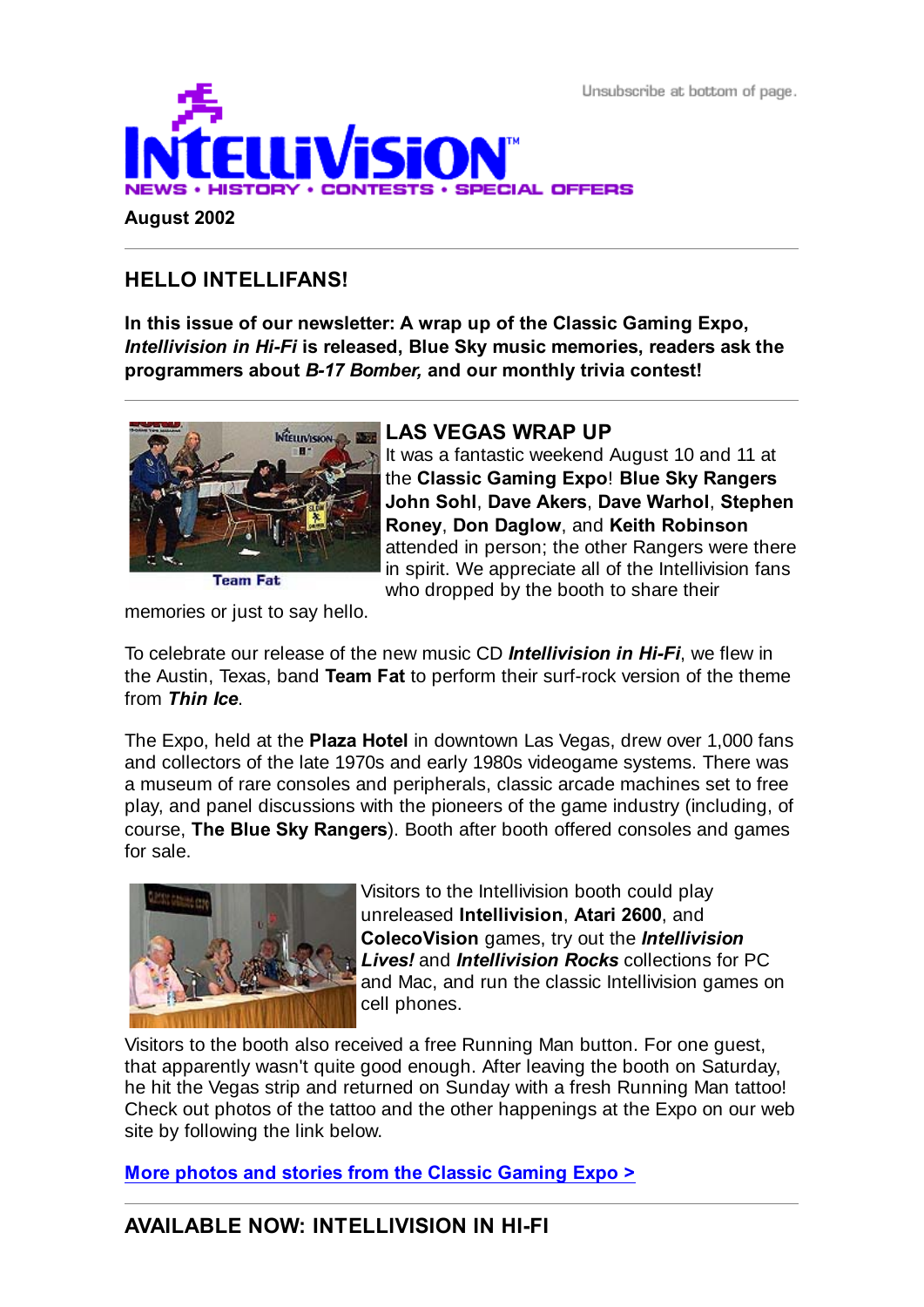Unsubscribe at bottom of page.



# **HELLO INTELLIFANS!**

**August 2002**

**In this issue of our newsletter: A wrap up of the Classic Gaming Expo,** *Intellivision in Hi-Fi* **is released, Blue Sky music memories, readers ask the programmers about** *B-17 Bomber,* **and our monthly trivia contest!**



## **LAS VEGAS WRAP UP**

It was a fantastic weekend August 10 and 11 at the **Classic Gaming Expo**! **Blue Sky Rangers John Sohl**, **Dave Akers**, **Dave Warhol**, **Stephen Roney**, **Don Daglow**, and **Keith Robinson** attended in person; the other Rangers were there in spirit. We appreciate all of the Intellivision fans who dropped by the booth to share their

memories or just to say hello.

To celebrate our release of the new music CD *Intellivision in Hi-Fi*, we flew in the Austin, Texas, band **Team Fat** to perform their surf-rock version of the theme from *Thin Ice*.

The Expo, held at the **Plaza Hotel** in downtown Las Vegas, drew over 1,000 fans and collectors of the late 1970s and early 1980s videogame systems. There was a museum of rare consoles and peripherals, classic arcade machines set to free play, and panel discussions with the pioneers of the game industry (including, of course, **The Blue Sky Rangers**). Booth after booth offered consoles and games for sale.



Visitors to the Intellivision booth could play unreleased **Intellivision**, **Atari 2600**, and **ColecoVision** games, try out the *Intellivision Lives!* and *Intellivision Rocks* collections for PC and Mac, and run the classic Intellivision games on cell phones.

Visitors to the booth also received a free Running Man button. For one guest, that apparently wasn't quite good enough. After leaving the booth on Saturday, he hit the Vegas strip and returned on Sunday with a fresh Running Man tattoo! Check out photos of the tattoo and the other happenings at the Expo on our web site by following the link below.

**More photos and stories from the Classic Gaming Expo >**

## **AVAILABLE NOW: INTELLIVISION IN HI-FI**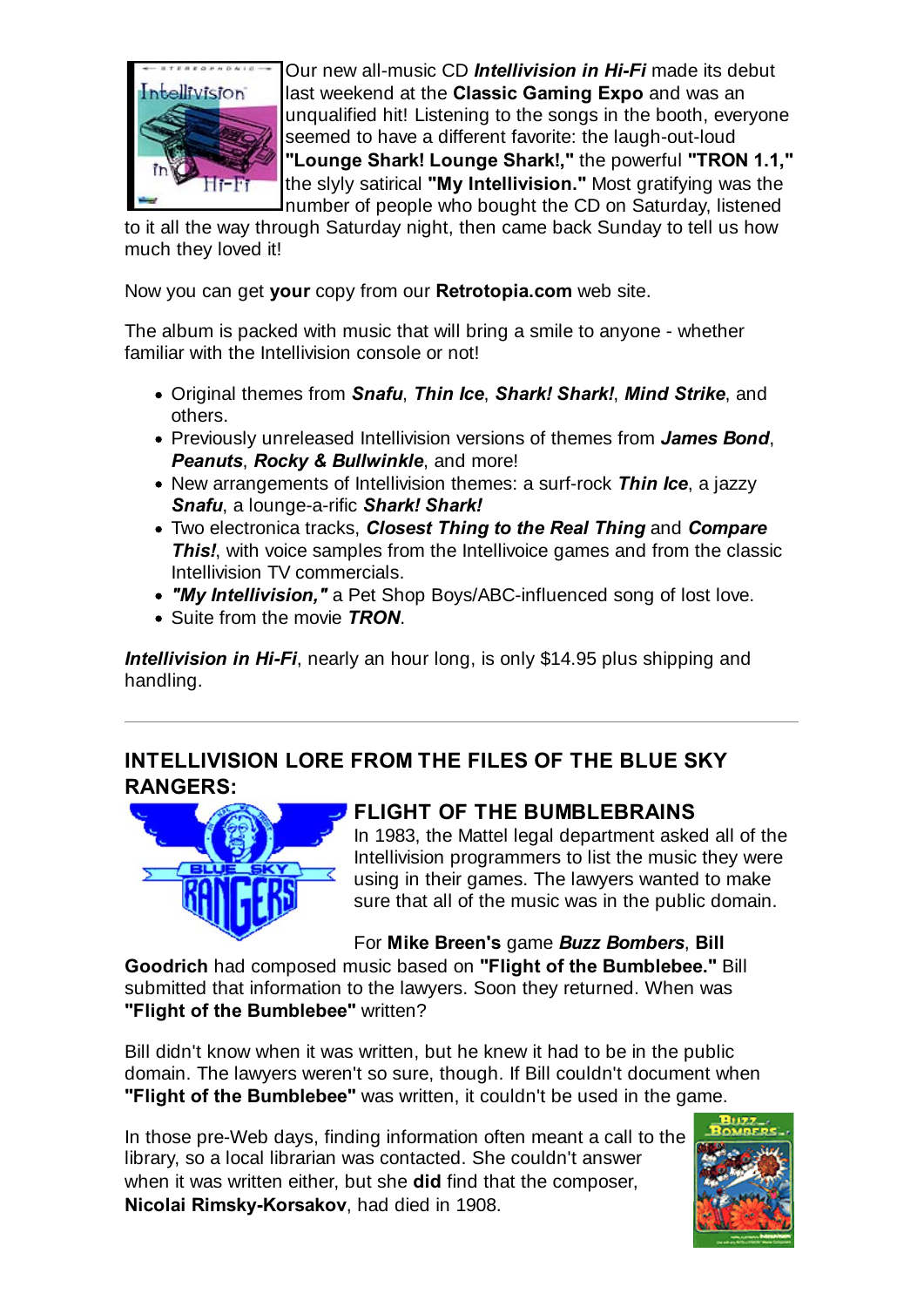

Our new all-music CD *Intellivision in Hi-Fi* made its debut last weekend at the **Classic Gaming Expo** and was an unqualified hit! Listening to the songs in the booth, everyone seemed to have a different favorite: the laugh-out-loud **"Lounge Shark! Lounge Shark!,"** the powerful **"TRON 1.1,"** the slyly satirical **"My Intellivision."** Most gratifying was the number of people who bought the CD on Saturday, listened

to it all the way through Saturday night, then came back Sunday to tell us how much they loved it!

Now you can get **your** copy from our **Retrotopia.com** web site.

The album is packed with music that will bring a smile to anyone - whether familiar with the Intellivision console or not!

- Original themes from *Snafu*, *Thin Ice*, *Shark! Shark!*, *Mind Strike*, and others.
- Previously unreleased Intellivision versions of themes from *James Bond*, *Peanuts*, *Rocky & Bullwinkle*, and more!
- New arrangements of Intellivision themes: a surf-rock *Thin Ice*, a jazzy *Snafu*, a lounge-a-rific *Shark! Shark!*
- Two electronica tracks, *Closest Thing to the Real Thing* and *Compare* **This!**, with voice samples from the Intellivoice games and from the classic Intellivision TV commercials.
- *"My Intellivision,"* a Pet Shop Boys/ABC-influenced song of lost love.
- Suite from the movie *TRON*.

*Intellivision in Hi-Fi*, nearly an hour long, is only \$14.95 plus shipping and handling.

#### **INTELLIVISION LORE FROM THE FILES OF THE BLUE SKY RANGERS:**



#### **FLIGHT OF THE BUMBLEBRAINS**

In 1983, the Mattel legal department asked all of the Intellivision programmers to list the music they were using in their games. The lawyers wanted to make sure that all of the music was in the public domain.

For **Mike Breen's** game *Buzz Bombers*, **Bill**

**Goodrich** had composed music based on **"Flight of the Bumblebee."** Bill submitted that information to the lawyers. Soon they returned. When was **"Flight of the Bumblebee"** written?

Bill didn't know when it was written, but he knew it had to be in the public domain. The lawyers weren't so sure, though. If Bill couldn't document when **"Flight of the Bumblebee"** was written, it couldn't be used in the game.

In those pre-Web days, finding information often meant a call to the library, so a local librarian was contacted. She couldn't answer when it was written either, but she **did** find that the composer, **Nicolai Rimsky-Korsakov**, had died in 1908.

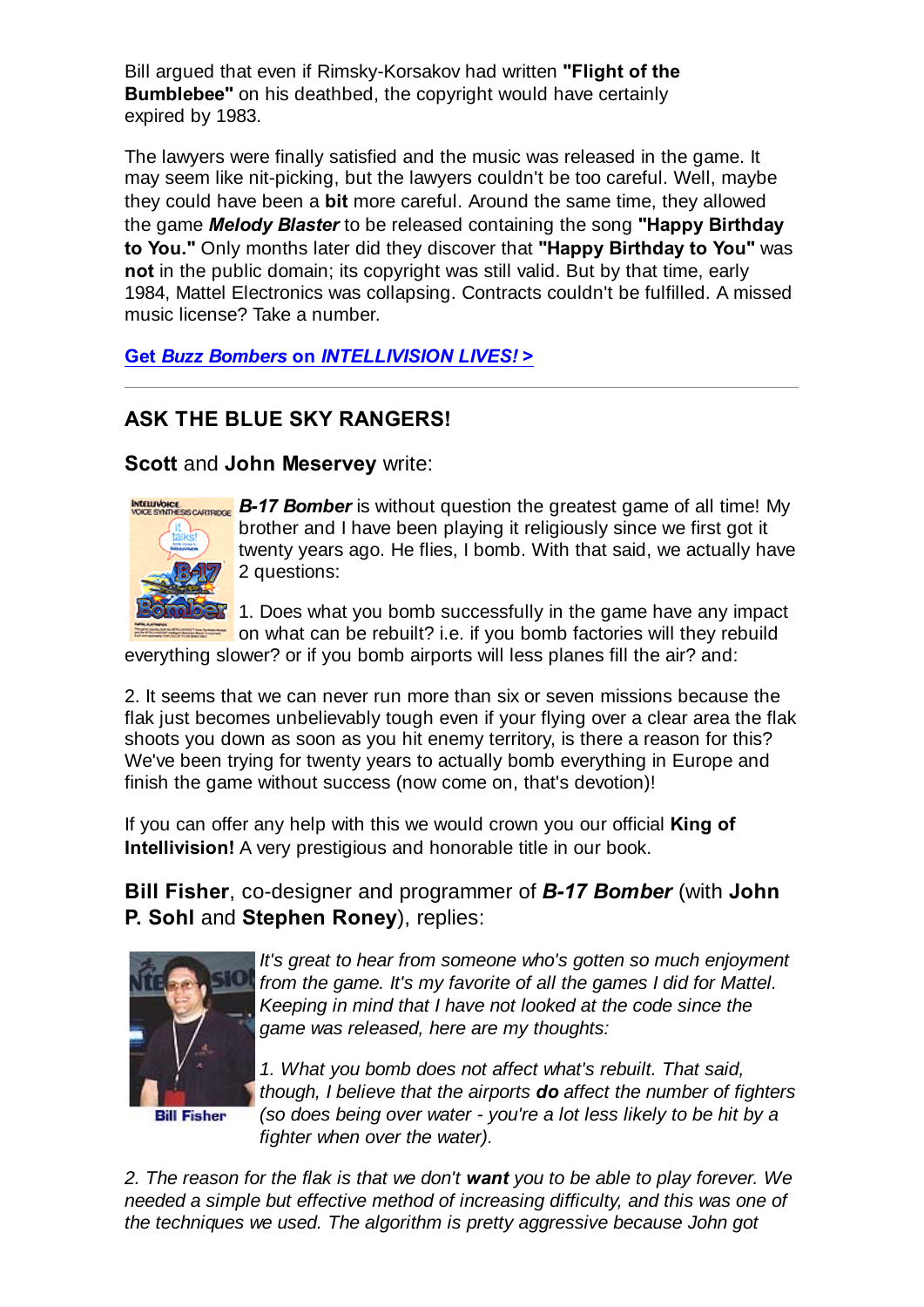Bill argued that even if Rimsky-Korsakov had written **"Flight of the Bumblebee"** on his deathbed, the copyright would have certainly expired by 1983.

The lawyers were finally satisfied and the music was released in the game. It may seem like nit-picking, but the lawyers couldn't be too careful. Well, maybe they could have been a **bit** more careful. Around the same time, they allowed the game *Melody Blaster* to be released containing the song **"Happy Birthday to You."** Only months later did they discover that **"Happy Birthday to You"** was **not** in the public domain; its copyright was still valid. But by that time, early 1984, Mattel Electronics was collapsing. Contracts couldn't be fulfilled. A missed music license? Take a number.

**Get** *Buzz Bombers* **on** *INTELLIVISION LIVES!* **>**

## **ASK THE BLUE SKY RANGERS!**

**Scott** and **John Meservey** write:



**INTELLIVENCE.**<br>VOGE SYVIDESS CARTERSE **B-17 Bomber** is without question the greatest game of all time! My brother and I have been playing it religiously since we first got it twenty years ago. He flies, I bomb. With that said, we actually have 2 questions:

> 1. Does what you bomb successfully in the game have any impact  $\blacksquare$  on what can be rebuilt? i.e. if you bomb factories will they rebuild

everything slower? or if you bomb airports will less planes fill the air? and:

2. It seems that we can never run more than six or seven missions because the flak just becomes unbelievably tough even if your flying over a clear area the flak shoots you down as soon as you hit enemy territory, is there a reason for this? We've been trying for twenty years to actually bomb everything in Europe and finish the game without success (now come on, that's devotion)!

If you can offer any help with this we would crown you our official **King of Intellivision!** A very prestigious and honorable title in our book.

**Bill Fisher**, co-designer and programmer of *B-17 Bomber* (with **John P. Sohl** and **Stephen Roney**), replies:



*It's great to hear from someone who's gotten so much enjoyment from the game. It's my favorite of all the games I did for Mattel. Keeping in mind that I have not looked at the code since the game was released, here are my thoughts:*

*1. What you bomb does not affect what's rebuilt. That said, though, I believe that the airports do affect the number of fighters (so does being over water - you're a lot less likely to be hit by a fighter when over the water).*

*2. The reason for the flak is that we don't want you to be able to play forever. We needed a simple but effective method of increasing difficulty, and this was one of the techniques we used. The algorithm is pretty aggressive because John got*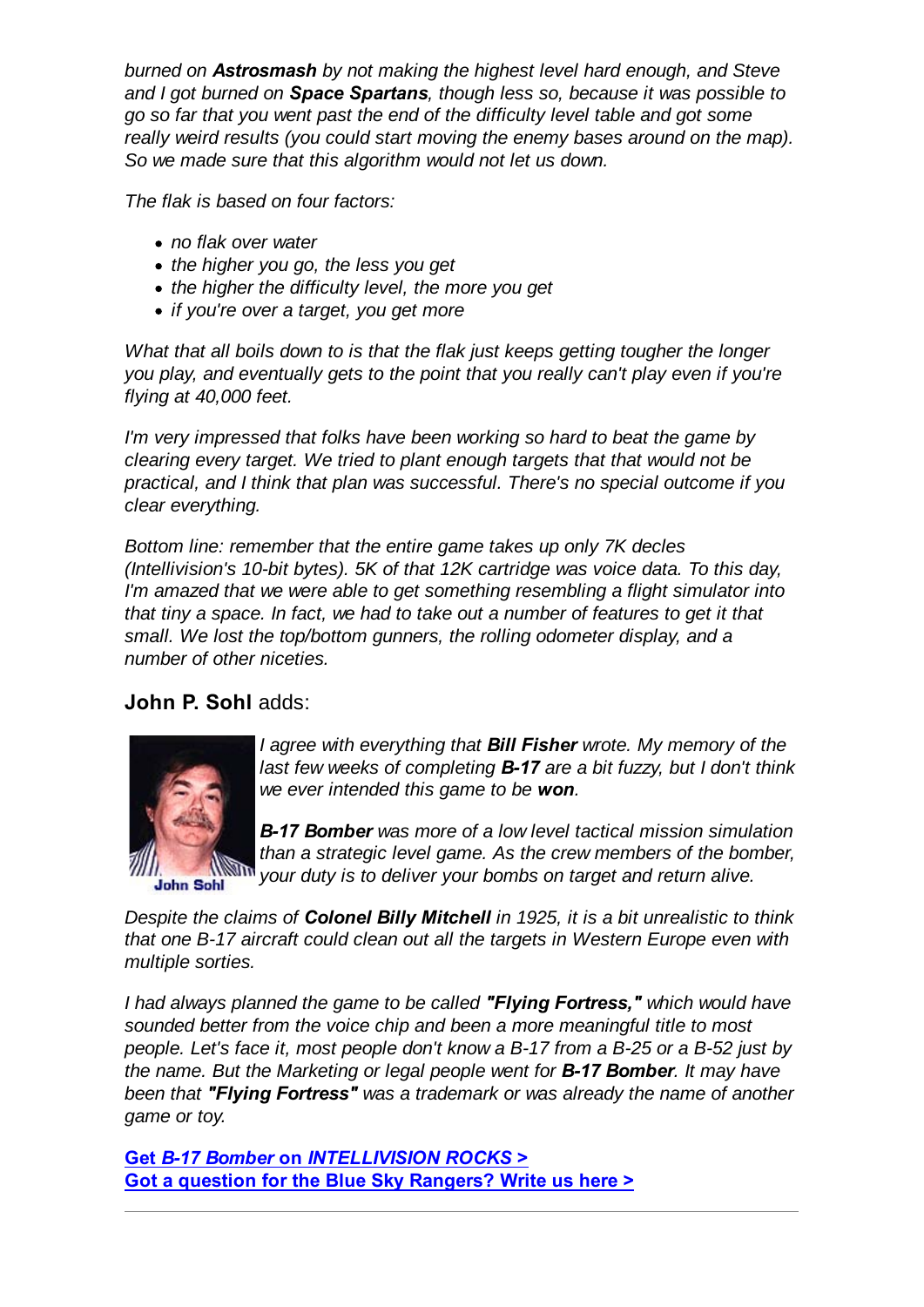*burned on Astrosmash by not making the highest level hard enough, and Steve and I got burned on Space Spartans, though less so, because it was possible to go so far that you went past the end of the difficulty level table and got some really weird results (you could start moving the enemy bases around on the map). So we made sure that this algorithm would not let us down.*

*The flak is based on four factors:*

- *no flak over water*
- *the higher you go, the less you get*
- *the higher the difficulty level, the more you get*
- *if you're over a target, you get more*

*What that all boils down to is that the flak just keeps getting tougher the longer you play, and eventually gets to the point that you really can't play even if you're flying at 40,000 feet.*

*I'm very impressed that folks have been working so hard to beat the game by clearing every target. We tried to plant enough targets that that would not be practical, and I think that plan was successful. There's no special outcome if you clear everything.*

*Bottom line: remember that the entire game takes up only 7K decles (Intellivision's 10-bit bytes). 5K of that 12K cartridge was voice data. To this day, I'm amazed that we were able to get something resembling a flight simulator into that tiny a space. In fact, we had to take out a number of features to get it that small. We lost the top/bottom gunners, the rolling odometer display, and a number of other niceties.*

#### **John P. Sohl** adds:



*I agree with everything that Bill Fisher wrote. My memory of the last few weeks of completing B-17 are a bit fuzzy, but I don't think we ever intended this game to be won.*

*B-17 Bomber was more of a low level tactical mission simulation than a strategic level game. As the crew members of the bomber, your duty is to deliver your bombs on target and return alive.*

*Despite the claims of Colonel Billy Mitchell in 1925, it is a bit unrealistic to think that one B-17 aircraft could clean out all the targets in Western Europe even with multiple sorties.*

*I had always planned the game to be called "Flying Fortress," which would have sounded better from the voice chip and been a more meaningful title to most people. Let's face it, most people don't know a B-17 from a B-25 or a B-52 just by the name. But the Marketing or legal people went for B-17 Bomber. It may have been that "Flying Fortress" was a trademark or was already the name of another game or toy.*

**Get** *B-17 Bomber* **on** *INTELLIVISION ROCKS* **> Got a question for the Blue Sky Rangers? Write us here >**